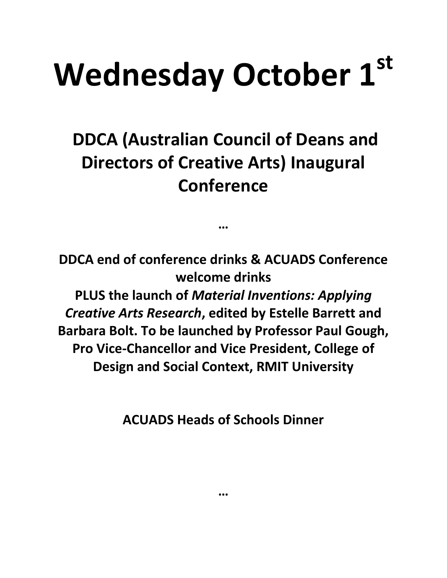## **Wednesday October 1st**

**DDCA (Australian Council of Deans and Directors of Creative Arts) Inaugural Conference** 

**…**

**DDCA end of conference drinks & ACUADS Conference welcome drinks PLUS the launch of** *Material Inventions: Applying Creative Arts Research***, edited by Estelle Barrett and Barbara Bolt. To be launched by Professor Paul Gough, Pro Vice-Chancellor and Vice President, College of Design and Social Context, RMIT University**

**ACUADS Heads of Schools Dinner** 

**…**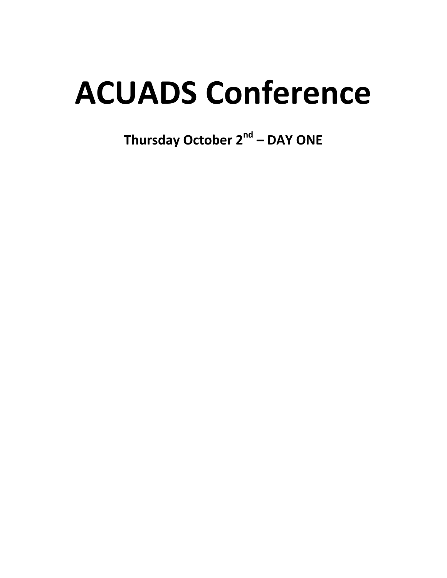## **ACUADS Conference**

Thursday October 2<sup>nd</sup> - DAY ONE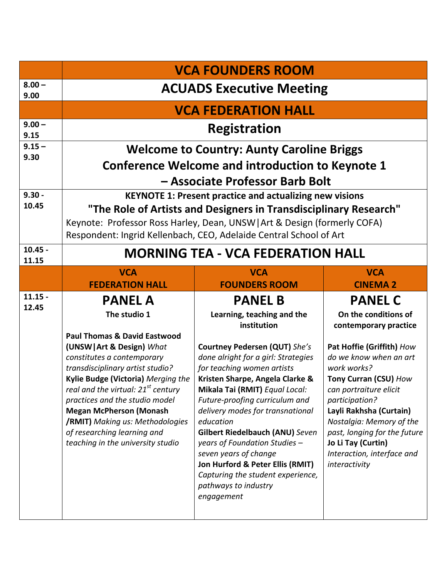|                    | <b>VCA FOUNDERS ROOM</b>                                                                                                                                                                                                                                                                                                                                                                                                                            |                                                                                                                                                                                                                                                                                                                                                                                                                                                                                                                                                     |                                                                                                                                                                                                                                                                                                                                                                        |  |  |
|--------------------|-----------------------------------------------------------------------------------------------------------------------------------------------------------------------------------------------------------------------------------------------------------------------------------------------------------------------------------------------------------------------------------------------------------------------------------------------------|-----------------------------------------------------------------------------------------------------------------------------------------------------------------------------------------------------------------------------------------------------------------------------------------------------------------------------------------------------------------------------------------------------------------------------------------------------------------------------------------------------------------------------------------------------|------------------------------------------------------------------------------------------------------------------------------------------------------------------------------------------------------------------------------------------------------------------------------------------------------------------------------------------------------------------------|--|--|
| $8.00 -$<br>9.00   | <b>ACUADS Executive Meeting</b>                                                                                                                                                                                                                                                                                                                                                                                                                     |                                                                                                                                                                                                                                                                                                                                                                                                                                                                                                                                                     |                                                                                                                                                                                                                                                                                                                                                                        |  |  |
|                    | <b>VCA FEDERATION HALL</b>                                                                                                                                                                                                                                                                                                                                                                                                                          |                                                                                                                                                                                                                                                                                                                                                                                                                                                                                                                                                     |                                                                                                                                                                                                                                                                                                                                                                        |  |  |
| $9.00 -$<br>9.15   | <b>Registration</b>                                                                                                                                                                                                                                                                                                                                                                                                                                 |                                                                                                                                                                                                                                                                                                                                                                                                                                                                                                                                                     |                                                                                                                                                                                                                                                                                                                                                                        |  |  |
| $9.15 -$<br>9.30   | <b>Welcome to Country: Aunty Caroline Briggs</b><br><b>Conference Welcome and introduction to Keynote 1</b><br>- Associate Professor Barb Bolt                                                                                                                                                                                                                                                                                                      |                                                                                                                                                                                                                                                                                                                                                                                                                                                                                                                                                     |                                                                                                                                                                                                                                                                                                                                                                        |  |  |
|                    |                                                                                                                                                                                                                                                                                                                                                                                                                                                     |                                                                                                                                                                                                                                                                                                                                                                                                                                                                                                                                                     |                                                                                                                                                                                                                                                                                                                                                                        |  |  |
| $9.30 -$<br>10.45  | <b>KEYNOTE 1: Present practice and actualizing new visions</b><br>"The Role of Artists and Designers in Transdisciplinary Research"<br>Keynote: Professor Ross Harley, Dean, UNSW   Art & Design (formerly COFA)<br>Respondent: Ingrid Kellenbach, CEO, Adelaide Central School of Art                                                                                                                                                              |                                                                                                                                                                                                                                                                                                                                                                                                                                                                                                                                                     |                                                                                                                                                                                                                                                                                                                                                                        |  |  |
| $10.45 -$<br>11.15 | <b>MORNING TEA - VCA FEDERATION HALL</b>                                                                                                                                                                                                                                                                                                                                                                                                            |                                                                                                                                                                                                                                                                                                                                                                                                                                                                                                                                                     |                                                                                                                                                                                                                                                                                                                                                                        |  |  |
|                    | <b>VCA</b><br><b>FEDERATION HALL</b>                                                                                                                                                                                                                                                                                                                                                                                                                | <b>VCA</b><br><b>FOUNDERS ROOM</b>                                                                                                                                                                                                                                                                                                                                                                                                                                                                                                                  | <b>VCA</b><br><b>CINEMA 2</b>                                                                                                                                                                                                                                                                                                                                          |  |  |
| $11.15 -$<br>12.45 | <b>PANEL A</b><br>The studio 1<br><b>Paul Thomas &amp; David Eastwood</b><br>(UNSW   Art & Design) What<br>constitutes a contemporary<br>transdisciplinary artist studio?<br>Kylie Budge (Victoria) Merging the<br>real and the virtual: 21 <sup>st</sup> century<br>practices and the studio model<br><b>Megan McPherson (Monash</b><br><b>/RMIT)</b> Making us: Methodologies<br>of researching learning and<br>teaching in the university studio | <b>PANEL B</b><br>Learning, teaching and the<br>institution<br><b>Courtney Pedersen (QUT)</b> She's<br>done alright for a girl: Strategies<br>for teaching women artists<br>Kristen Sharpe, Angela Clarke &<br>Mikala Tai (RMIT) Equal Local:<br>Future-proofing curriculum and<br>delivery modes for transnational<br>education<br><b>Gilbert Riedelbauch (ANU) Seven</b><br>years of Foundation Studies -<br>seven years of change<br>Jon Hurford & Peter Ellis (RMIT)<br>Capturing the student experience,<br>pathways to industry<br>engagement | <b>PANEL C</b><br>On the conditions of<br>contemporary practice<br>Pat Hoffie (Griffith) How<br>do we know when an art<br>work works?<br>Tony Curran (CSU) How<br>can portraiture elicit<br>participation?<br>Layli Rakhsha (Curtain)<br>Nostalgia: Memory of the<br>past, longing for the future<br>Jo Li Tay (Curtin)<br>Interaction, interface and<br>interactivity |  |  |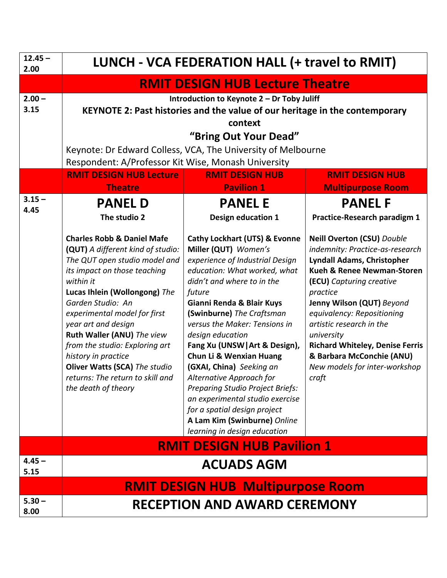| $12.45 -$<br>2.00 | LUNCH - VCA FEDERATION HALL (+ travel to RMIT)                                                                                                                                                                                                                                                                                                                                                                                                           |                                                                                                                                                                                                                                                                                                                                                                                                                                                                                                                                                                                                          |                                                                                                                                                                                                                                                                                                                                                                                                                  |  |  |
|-------------------|----------------------------------------------------------------------------------------------------------------------------------------------------------------------------------------------------------------------------------------------------------------------------------------------------------------------------------------------------------------------------------------------------------------------------------------------------------|----------------------------------------------------------------------------------------------------------------------------------------------------------------------------------------------------------------------------------------------------------------------------------------------------------------------------------------------------------------------------------------------------------------------------------------------------------------------------------------------------------------------------------------------------------------------------------------------------------|------------------------------------------------------------------------------------------------------------------------------------------------------------------------------------------------------------------------------------------------------------------------------------------------------------------------------------------------------------------------------------------------------------------|--|--|
|                   | <b>RMIT DESIGN HUB Lecture Theatre</b>                                                                                                                                                                                                                                                                                                                                                                                                                   |                                                                                                                                                                                                                                                                                                                                                                                                                                                                                                                                                                                                          |                                                                                                                                                                                                                                                                                                                                                                                                                  |  |  |
| $2.00 -$<br>3.15  | Introduction to Keynote 2 - Dr Toby Juliff<br>KEYNOTE 2: Past histories and the value of our heritage in the contemporary<br>context<br>"Bring Out Your Dead"<br>Keynote: Dr Edward Colless, VCA, The University of Melbourne<br>Respondent: A/Professor Kit Wise, Monash University                                                                                                                                                                     |                                                                                                                                                                                                                                                                                                                                                                                                                                                                                                                                                                                                          |                                                                                                                                                                                                                                                                                                                                                                                                                  |  |  |
|                   | <b>RMIT DESIGN HUB Lecture</b><br><b>Theatre</b>                                                                                                                                                                                                                                                                                                                                                                                                         | <b>RMIT DESIGN HUB</b><br><b>Pavilion 1</b>                                                                                                                                                                                                                                                                                                                                                                                                                                                                                                                                                              | <b>RMIT DESIGN HUB</b><br><b>Multipurpose Room</b>                                                                                                                                                                                                                                                                                                                                                               |  |  |
| $3.15 -$<br>4.45  | <b>PANEL D</b><br>The studio 2                                                                                                                                                                                                                                                                                                                                                                                                                           | <b>PANEL E</b><br><b>Design education 1</b>                                                                                                                                                                                                                                                                                                                                                                                                                                                                                                                                                              | <b>PANEL F</b><br>Practice-Research paradigm 1                                                                                                                                                                                                                                                                                                                                                                   |  |  |
|                   | <b>Charles Robb &amp; Daniel Mafe</b><br>(QUT) A different kind of studio:<br>The QUT open studio model and<br>its impact on those teaching<br>within it<br>Lucas Ihlein (Wollongong) The<br>Garden Studio: An<br>experimental model for first<br>year art and design<br>Ruth Waller (ANU) The view<br>from the studio: Exploring art<br>history in practice<br>Oliver Watts (SCA) The studio<br>returns: The return to skill and<br>the death of theory | <b>Cathy Lockhart (UTS) &amp; Evonne</b><br>Miller (QUT) Women's<br>experience of Industrial Design<br>education: What worked, what<br>didn't and where to in the<br>future<br>Gianni Renda & Blair Kuys<br>(Swinburne) The Craftsman<br>versus the Maker: Tensions in<br>design education<br>Fang Xu (UNSW   Art & Design),<br><b>Chun Li &amp; Wenxian Huang</b><br>(GXAI, China) Seeking an<br>Alternative Approach for<br><b>Preparing Studio Project Briefs:</b><br>an experimental studio exercise<br>for a spatial design project<br>A Lam Kim (Swinburne) Online<br>learning in design education | <b>Neill Overton (CSU)</b> Double<br>indemnity: Practice-as-research<br><b>Lyndall Adams, Christopher</b><br><b>Kueh &amp; Renee Newman-Storen</b><br>(ECU) Capturing creative<br>practice<br>Jenny Wilson (QUT) Beyond<br>equivalency: Repositioning<br>artistic research in the<br>university<br><b>Richard Whiteley, Denise Ferris</b><br>& Barbara McConchie (ANU)<br>New models for inter-workshop<br>craft |  |  |
|                   | <b>RMIT DESIGN HUB Pavilion 1</b>                                                                                                                                                                                                                                                                                                                                                                                                                        |                                                                                                                                                                                                                                                                                                                                                                                                                                                                                                                                                                                                          |                                                                                                                                                                                                                                                                                                                                                                                                                  |  |  |
| $4.45 -$<br>5.15  | <b>ACUADS AGM</b>                                                                                                                                                                                                                                                                                                                                                                                                                                        |                                                                                                                                                                                                                                                                                                                                                                                                                                                                                                                                                                                                          |                                                                                                                                                                                                                                                                                                                                                                                                                  |  |  |
|                   | <b>RMIT DESIGN HUB Multipurpose Room</b>                                                                                                                                                                                                                                                                                                                                                                                                                 |                                                                                                                                                                                                                                                                                                                                                                                                                                                                                                                                                                                                          |                                                                                                                                                                                                                                                                                                                                                                                                                  |  |  |
| $5.30 -$<br>8.00  | <b>RECEPTION AND AWARD CEREMONY</b>                                                                                                                                                                                                                                                                                                                                                                                                                      |                                                                                                                                                                                                                                                                                                                                                                                                                                                                                                                                                                                                          |                                                                                                                                                                                                                                                                                                                                                                                                                  |  |  |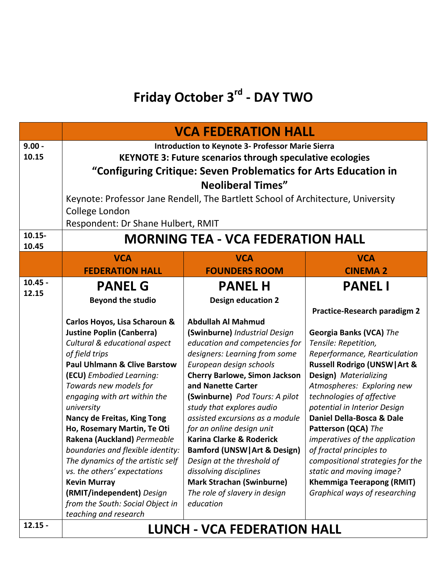## **Friday October 3rd - DAY TWO**

|                                | <b>VCA FEDERATION HALL</b>                                                                                                                                                                                                                                                                                                                                                                                                                                                                                                                                                                                                                |                                                                                                                                                                                                                                                                                                                                                                                                                                                                                                                                                                                                                       |                                                                                                                                                                                                                                                                                                                                                                                                                                                                                                                                                                 |  |
|--------------------------------|-------------------------------------------------------------------------------------------------------------------------------------------------------------------------------------------------------------------------------------------------------------------------------------------------------------------------------------------------------------------------------------------------------------------------------------------------------------------------------------------------------------------------------------------------------------------------------------------------------------------------------------------|-----------------------------------------------------------------------------------------------------------------------------------------------------------------------------------------------------------------------------------------------------------------------------------------------------------------------------------------------------------------------------------------------------------------------------------------------------------------------------------------------------------------------------------------------------------------------------------------------------------------------|-----------------------------------------------------------------------------------------------------------------------------------------------------------------------------------------------------------------------------------------------------------------------------------------------------------------------------------------------------------------------------------------------------------------------------------------------------------------------------------------------------------------------------------------------------------------|--|
| $9.00 -$<br>10.15<br>$10.15 -$ | <b>Introduction to Keynote 3- Professor Marie Sierra</b><br><b>KEYNOTE 3: Future scenarios through speculative ecologies</b><br>"Configuring Critique: Seven Problematics for Arts Education in<br><b>Neoliberal Times"</b><br>Keynote: Professor Jane Rendell, The Bartlett School of Architecture, University<br>College London<br>Respondent: Dr Shane Hulbert, RMIT<br><b>MORNING TEA - VCA FEDERATION HALL</b>                                                                                                                                                                                                                       |                                                                                                                                                                                                                                                                                                                                                                                                                                                                                                                                                                                                                       |                                                                                                                                                                                                                                                                                                                                                                                                                                                                                                                                                                 |  |
| 10.45                          | <b>VCA</b><br><b>VCA</b><br><b>VCA</b>                                                                                                                                                                                                                                                                                                                                                                                                                                                                                                                                                                                                    |                                                                                                                                                                                                                                                                                                                                                                                                                                                                                                                                                                                                                       |                                                                                                                                                                                                                                                                                                                                                                                                                                                                                                                                                                 |  |
|                                | <b>FEDERATION HALL</b>                                                                                                                                                                                                                                                                                                                                                                                                                                                                                                                                                                                                                    | <b>FOUNDERS ROOM</b>                                                                                                                                                                                                                                                                                                                                                                                                                                                                                                                                                                                                  | <b>CINEMA 2</b>                                                                                                                                                                                                                                                                                                                                                                                                                                                                                                                                                 |  |
| $10.45 -$<br>12.15             | <b>PANEL G</b><br><b>Beyond the studio</b><br>Carlos Hoyos, Lisa Scharoun &<br><b>Justine Poplin (Canberra)</b><br>Cultural & educational aspect<br>of field trips<br><b>Paul Uhlmann &amp; Clive Barstow</b><br>(ECU) Embodied Learning:<br>Towards new models for<br>engaging with art within the<br>university<br>Nancy de Freitas, King Tong<br>Ho, Rosemary Martin, Te Oti<br>Rakena (Auckland) Permeable<br>boundaries and flexible identity:<br>The dynamics of the artistic self<br>vs. the others' expectations<br><b>Kevin Murray</b><br>(RMIT/independent) Design<br>from the South: Social Object in<br>teaching and research | <b>PANEL H</b><br><b>Design education 2</b><br><b>Abdullah Al Mahmud</b><br>(Swinburne) Industrial Design<br>education and competencies for<br>designers: Learning from some<br>European design schools<br><b>Cherry Barlowe, Simon Jackson</b><br>and Nanette Carter<br>(Swinburne) Pod Tours: A pilot<br>study that explores audio<br>assisted excursions as a module<br>for an online design unit<br>Karina Clarke & Roderick<br><b>Bamford (UNSW) Art &amp; Design)</b><br>Design at the threshold of<br>dissolving disciplines<br><b>Mark Strachan (Swinburne)</b><br>The role of slavery in design<br>education | <b>PANEL I</b><br><b>Practice-Research paradigm 2</b><br>Georgia Banks (VCA) The<br>Tensile: Repetition,<br>Reperformance, Rearticulation<br><b>Russell Rodrigo (UNSW) Art &amp;</b><br>Design) Materializing<br>Atmospheres: Exploring new<br>technologies of affective<br>potential in Interior Design<br>Daniel Della-Bosca & Dale<br>Patterson (QCA) The<br>imperatives of the application<br>of fractal principles to<br>compositional strategies for the<br>static and moving image?<br><b>Khemmiga Teerapong (RMIT)</b><br>Graphical ways of researching |  |
| $12.15 -$                      | <b>LUNCH - VCA FEDERATION HALL</b>                                                                                                                                                                                                                                                                                                                                                                                                                                                                                                                                                                                                        |                                                                                                                                                                                                                                                                                                                                                                                                                                                                                                                                                                                                                       |                                                                                                                                                                                                                                                                                                                                                                                                                                                                                                                                                                 |  |